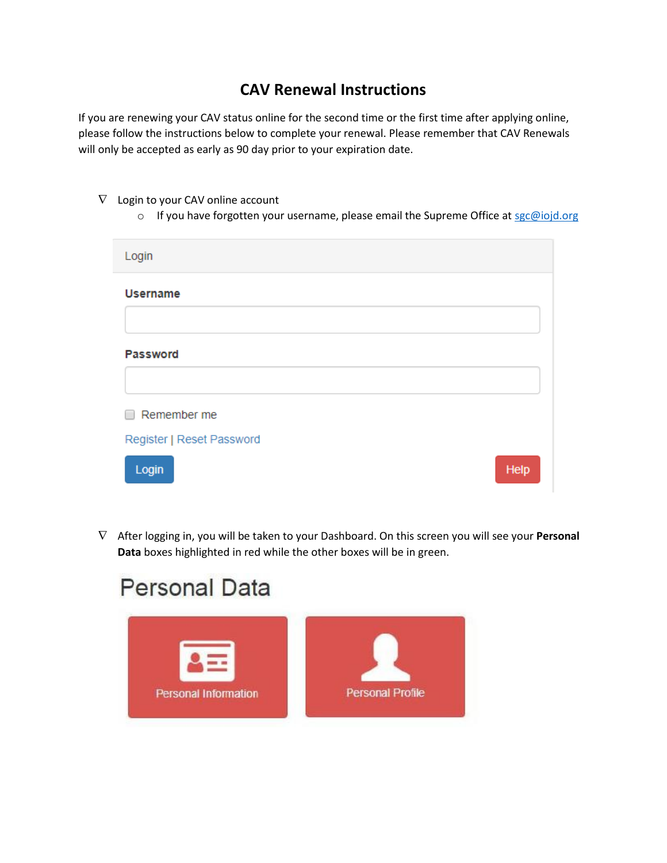## **CAV Renewal Instructions**

If you are renewing your CAV status online for the second time or the first time after applying online, please follow the instructions below to complete your renewal. Please remember that CAV Renewals will only be accepted as early as 90 day prior to your expiration date.

- $\nabla$  Login to your CAV online account
	- o If you have forgotten your username, please email the Supreme Office a[t sgc@iojd.org](mailto:sgc@iojd.org)

| Login                     |      |
|---------------------------|------|
| <b>Username</b>           |      |
|                           |      |
| <b>Password</b>           |      |
|                           |      |
| Remember me               |      |
| Register   Reset Password |      |
| Login                     | Help |

 After logging in, you will be taken to your Dashboard. On this screen you will see your **Personal Data** boxes highlighted in red while the other boxes will be in green.

## **Personal Data**

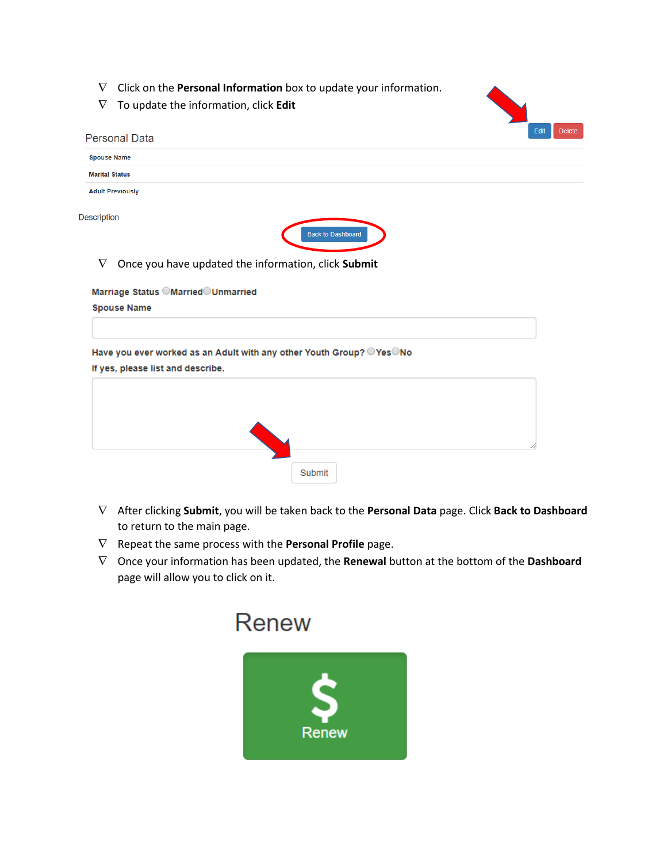- Click on the **Personal Information** box to update your information.
- $\nabla$  To update the information, click **Edit**



Once you have updated the information, click **Submit**

Marriage Status OMarriedOUnmarried **Spouse Name** 

Have you ever worked as an Adult with any other Youth Group? OYesONo

If yes, please list and describe.

| 10<br>Submit |
|--------------|

- After clicking **Submit**, you will be taken back to the **Personal Data** page. Click **Back to Dashboard** to return to the main page.
- $\nabla$  Repeat the same process with the **Personal Profile** page.
- Once your information has been updated, the **Renewal** button at the bottom of the **Dashboard**  page will allow you to click on it.